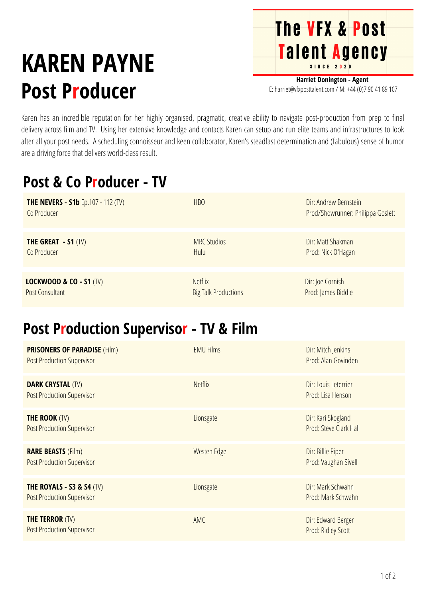# **KAREN PAYNE Post Producer**

**Harriet Donington - Agent** E: harriet@vfxposttalent.com / M:+44(0)7904189107

Talent Agency

**The VFX & Post** 

Karen has an incredible reputation for her highly organised, pragmatic, creative ability to navigate post-production from prep to final delivery across film and TV. Using her extensive knowledge and contacts Karen can setup and run elite teams and infrastructures to look after all your post needs. A scheduling connoisseur and keen collaborator, Karen's steadfast determination and (fabulous) sense of humor are a driving force that delivers world-class result.

### **Post & Co Producer - TV**

| <b>THE NEVERS - S1b</b> Ep.107 - 112 (TV)<br>Co Producer | <b>HBO</b>                  | Dir: Andrew Bernstein<br>Prod/Showrunner: Philippa Goslett |
|----------------------------------------------------------|-----------------------------|------------------------------------------------------------|
| THE GREAT $-51$ (TV)                                     | <b>MRC Studios</b>          | Dir: Matt Shakman                                          |
| Co Producer                                              | Hulu                        | Prod: Nick O'Hagan                                         |
| <b>LOCKWOOD &amp; CO - S1 (TV)</b>                       | <b>Netflix</b>              | Dir: Joe Cornish                                           |
| Post Consultant                                          | <b>Big Talk Productions</b> | Prod: James Biddle                                         |

#### **Post Production Supervisor - TV & Film**

| <b>PRISONERS OF PARADISE (Film)</b><br><b>Post Production Supervisor</b> | <b>EMU Films</b> | Dir: Mitch Jenkins<br>Prod: Alan Govinden    |
|--------------------------------------------------------------------------|------------------|----------------------------------------------|
| <b>DARK CRYSTAL (TV)</b><br><b>Post Production Supervisor</b>            | <b>Netflix</b>   | Dir: Louis Leterrier<br>Prod: Lisa Henson    |
| <b>THE ROOK (TV)</b><br><b>Post Production Supervisor</b>                | Lionsgate        | Dir: Kari Skogland<br>Prod: Steve Clark Hall |
| <b>RARE BEASTS (Film)</b><br><b>Post Production Supervisor</b>           | Westen Edge      | Dir: Billie Piper<br>Prod: Vaughan Sivell    |
| THE ROYALS - S3 & S4 $(TV)$<br><b>Post Production Supervisor</b>         | Lionsgate        | Dir: Mark Schwahn<br>Prod: Mark Schwahn      |
| <b>THE TERROR (TV)</b><br><b>Post Production Supervisor</b>              | AMC              | Dir: Edward Berger<br>Prod: Ridley Scott     |